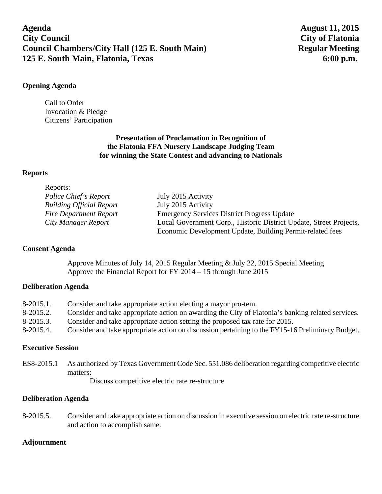# **Agenda August 11, 2015 City Council City of Flatonia Council Chambers/City Hall (125 E. South Main)** Regular Meeting **125 E. South Main, Flatonia, Texas 6:00 p.m. 6:00 p.m.**

### **Opening Agenda**

Call to Order Invocation & Pledge Citizens' Participation

# **Presentation of Proclamation in Recognition of the Flatonia FFA Nursery Landscape Judging Team for winning the State Contest and advancing to Nationals**

### **Reports**

| Reports:                        |                                                                    |
|---------------------------------|--------------------------------------------------------------------|
| Police Chief's Report           | July 2015 Activity                                                 |
| <b>Building Official Report</b> | July 2015 Activity                                                 |
| <b>Fire Department Report</b>   | <b>Emergency Services District Progress Update</b>                 |
| City Manager Report             | Local Government Corp., Historic District Update, Street Projects, |
|                                 | Economic Development Update, Building Permit-related fees          |

#### **Consent Agenda**

Approve Minutes of July 14, 2015 Regular Meeting & July 22, 2015 Special Meeting Approve the Financial Report for FY 2014 – 15 through June 2015

# **Deliberation Agenda**

| $8-2015.1$ . | Consider and take appropriate action electing a mayor pro-tem.                                    |
|--------------|---------------------------------------------------------------------------------------------------|
| 8-2015.2.    | Consider and take appropriate action on awarding the City of Flatonia's banking related services. |
| $8-2015.3$ . | Consider and take appropriate action setting the proposed tax rate for 2015.                      |
| 8-2015.4.    | Consider and take appropriate action on discussion pertaining to the FY15-16 Preliminary Budget.  |

#### **Executive Session**

ES8-2015.1 As authorized by Texas Government Code Sec. 551.086 deliberation regarding competitive electric matters:

Discuss competitive electric rate re-structure

#### **Deliberation Agenda**

8-2015.5. Consider and take appropriate action on discussion in executive session on electric rate re-structure and action to accomplish same.

# **Adjournment**